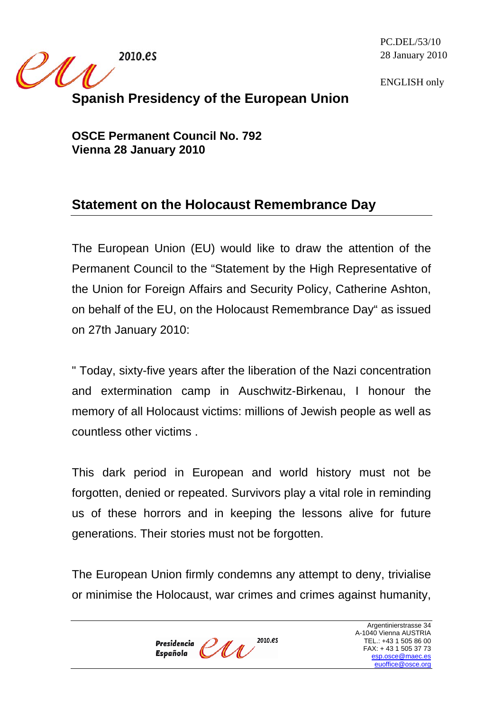2010.es

 $\mathscr{M}$ 

PC.DEL/53/10 28 January 2010

ENGLISH only

## **Spanish Presidency of the European Union**

**OSCE Permanent Council No. 792 Vienna 28 January 2010** 

## **Statement on the Holocaust Remembrance Day**

The European Union (EU) would like to draw the attention of the Permanent Council to the "Statement by the High Representative of the Union for Foreign Affairs and Security Policy, Catherine Ashton, on behalf of the EU, on the Holocaust Remembrance Day" as issued on 27th January 2010:

" Today, sixty-five years after the liberation of the Nazi concentration and extermination camp in Auschwitz-Birkenau, I honour the memory of all Holocaust victims: millions of Jewish people as well as countless other victims .

This dark period in European and world history must not be forgotten, denied or repeated. Survivors play a vital role in reminding us of these horrors and in keeping the lessons alive for future generations. Their stories must not be forgotten.

The European Union firmly condemns any attempt to deny, trivialise or minimise the Holocaust, war crimes and crimes against humanity,